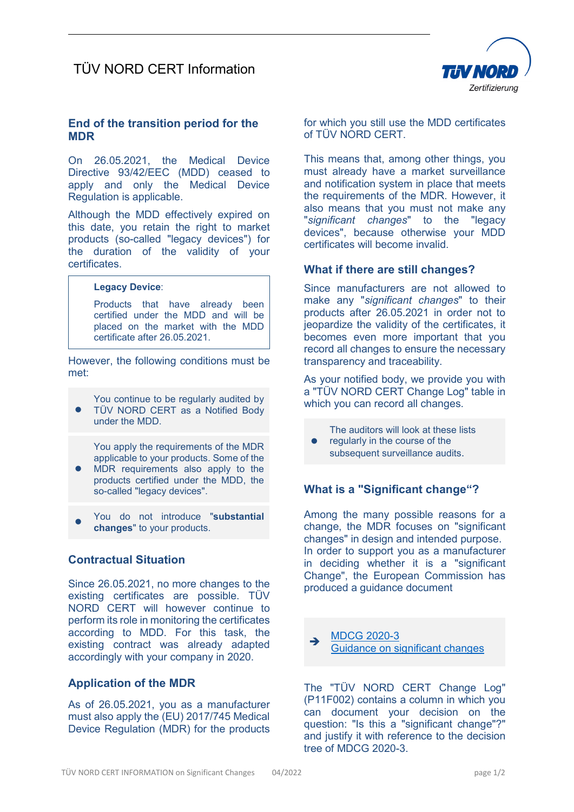# TÜV NORD CERT Information



### **End of the transition period for the MDR**

On 26.05.2021, the Medical Device Directive 93/42/EEC (MDD) ceased to apply and only the Medical Device Regulation is applicable.

Although the MDD effectively expired on this date, you retain the right to market products (so-called "legacy devices") for the duration of the validity of your certificates.

#### **Legacy Device**:

Products that have already been certified under the MDD and will be placed on the market with the MDD certificate after 26.05.2021.

However, the following conditions must be met:

You continue to be regularly audited by

 $\bullet$ TÜV NORD CERT as a Notified Body under the MDD.

You apply the requirements of the MDR applicable to your products. Some of the

- $\bullet$ MDR requirements also apply to the products certified under the MDD, the so-called "legacy devices".
- You do not introduce "**substantial changes**" to your products.

# **Contractual Situation**

Since 26.05.2021, no more changes to the existing certificates are possible. TÜV NORD CERT will however continue to perform its role in monitoring the certificates according to MDD. For this task, the existing contract was already adapted accordingly with your company in 2020.

# **Application of the MDR**

As of 26.05.2021, you as a manufacturer must also apply the (EU) 2017/745 Medical Device Regulation (MDR) for the products for which you still use the MDD certificates of TÜV NORD CERT.

This means that, among other things, you must already have a market surveillance and notification system in place that meets the requirements of the MDR. However, it also means that you must not make any "*significant changes*" to the "legacy devices", because otherwise your MDD certificates will become invalid.

### **What if there are still changes?**

Since manufacturers are not allowed to make any "*significant changes*" to their products after 26.05.2021 in order not to jeopardize the validity of the certificates, it becomes even more important that you record all changes to ensure the necessary transparency and traceability.

As your notified body, we provide you with a "TÜV NORD CERT Change Log" table in which you can record all changes.

- The auditors will look at these lists
- $\bullet$ regularly in the course of the subsequent surveillance audits.

# **What is a "Significant change"?**

Among the many possible reasons for a change, the MDR focuses on "significant changes" in design and intended purpose. In order to support you as a manufacturer in deciding whether it is a "significant Change", the European Commission has produced a guidance document



The "TÜV NORD CERT Change Log" (P11F002) contains a column in which you can document your decision on the question: "Is this a "significant change"?" and justify it with reference to the decision tree of MDCG 2020-3.